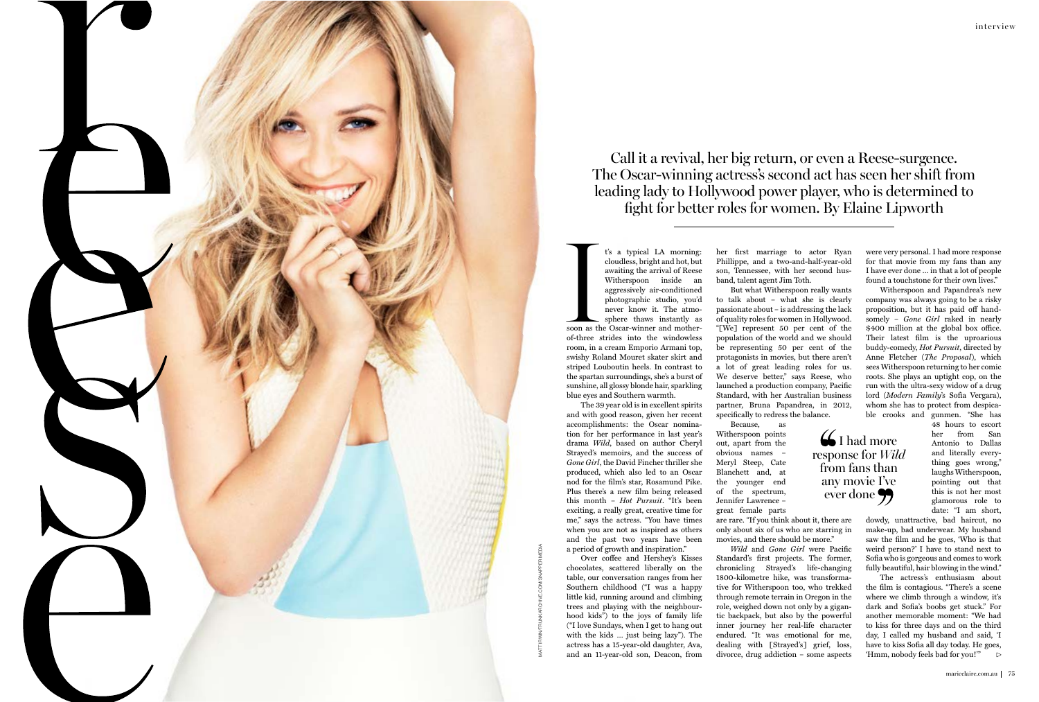## Call it a revival, her big return, or even a Reese-surgence. The Oscar-winning actress's second act has seen her shift from leading lady to Hollywood power player, who is determined to fght for better roles for women. By Elaine Lipworth

soon as the t's a typical LA morning: cloudless, bright and hot, but awaiting the arrival of Reese Witherspoon inside an aggressively air-conditioned photographic studio, you'd never know it. The atmosphere thaws instantly as soon as the Oscar-winner and motherof-three strides into the windowless room, in a cream Emporio Armani top, swishy Roland Mouret skater skirt and striped Louboutin heels. In contrast to the spartan surroundings, she's a burst of sunshine, all glossy blonde hair, sparkling blue eyes and Southern warmth.

Over coffee and Hershey's Kisses chocolates, scattered liberally on the table, our conversation ranges from her Southern childhood ("I was a happy little kid, running around and climbing trees and playing with the neighbourhood kids") to the joys of family life ("I love Sundays, when I get to hang out with the kids … just being lazy"). The actress has a 15-year-old daughter, Ava, and an 11-year-old son, Deacon, from

The 39 year old is in excellent spirits and with good reason, given her recent accomplishments: the Oscar nomination for her performance in last year's drama *Wild*, based on author Cheryl Strayed's memoirs, and the success of *Gone Girl*, the David Fincher thriller she produced, which also led to an Oscar nod for the film's star, Rosamund Pike. Plus there's a new film being released this month – *Hot Pursuit*. "It's been exciting, a really great, creative time for me," says the actress. "You have times when you are not as inspired as others and the past two years have been a period of growth and inspiration."

her first marriage to actor Ryan Phillippe, and a two-and-half-year-old son, Tennessee, with her second husband, talent agent Jim Toth.

But what Witherspoon really wants to talk about – what she is clearly passionate about – is addressing the lack of quality roles for women in Hollywood. "[We] represent 50 per cent of the population of the world and we should be representing 50 per cent of the protagonists in movies, but there aren't a lot of great leading roles for us. We deserve better," says Reese, who launched a production company, Pacific Standard, with her Australian business partner, Bruna Papandrea, in 2012, specifically to redress the balance.

Because, as Witherspoon points out, apart from the obvious names – Meryl Steep, Cate Blanchett and, at the younger end of the spectrum, Jennifer Lawrence –

great female parts

are rare. "If you think about it, there are only about six of us who are starring in movies, and there should be more."

*Wild* and *Gone Girl* were Pacific Standard's first projects. The former, chronicling Strayed's life-changing 1800-kilometre hike, was transformative for Witherspoon too, who trekked through remote terrain in Oregon in the role, weighed down not only by a gigantic backpack, but also by the powerful inner journey her real-life character endured. "It was emotional for me, dealing with [Strayed's] grief, loss, divorce, drug addiction – some aspects

were very personal. I had more response for that movie from my fans than any I have ever done … in that a lot of people found a touchstone for their own lives."

Witherspoon and Papandrea's new company was always going to be a risky proposition, but it has paid off handsomely – *Gone Girl* raked in nearly \$400 million at the global box office. Their latest film is the uproarious buddy-comedy, *Hot Pursuit*, directed by Anne Fletcher (*The Proposal*), which sees Witherspoon returning to her comic roots. She plays an uptight cop, on the run with the ultra-sexy widow of a drug lord (*Modern Family*'s Sofìa Vergara), whom she has to protect from despicable crooks and gunmen. "She has

> 48 hours to escort her from San Antonio to Dallas and literally everything goes wrong," laughs Witherspoon, pointing out that this is not her most glamorous role to date: "I am short,

dowdy, unattractive, bad haircut, no make-up, bad underwear. My husband saw the film and he goes, 'Who is that weird person?' I have to stand next to Sofia who is gorgeous and comes to work fully beautiful, hair blowing in the wind."

The actress's enthusiasm about the film is contagious. "There's a scene where we climb through a window, it's dark and Sofia's boobs get stuck." For another memorable moment: "We had to kiss for three days and on the third day, I called my husband and said, 'I have to kiss Sofia all day today. He goes, 'Hmm, nobody feels bad for you!'"

**6** I had more response for *Wild* from fans than any movie I've  $\check{\text{even}}$  done  $\bullet$